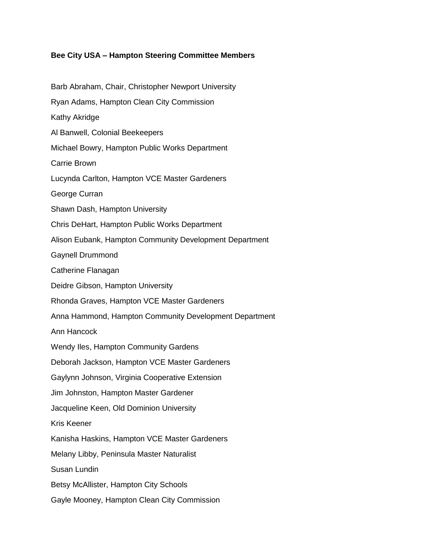## **Bee City USA – Hampton Steering Committee Members**

Barb Abraham, Chair, Christopher Newport University Ryan Adams, Hampton Clean City Commission Kathy Akridge Al Banwell, Colonial Beekeepers Michael Bowry, Hampton Public Works Department Carrie Brown Lucynda Carlton, Hampton VCE Master Gardeners George Curran Shawn Dash, Hampton University Chris DeHart, Hampton Public Works Department Alison Eubank, Hampton Community Development Department Gaynell Drummond Catherine Flanagan Deidre Gibson, Hampton University Rhonda Graves, Hampton VCE Master Gardeners Anna Hammond, Hampton Community Development Department Ann Hancock Wendy Iles, Hampton Community Gardens Deborah Jackson, Hampton VCE Master Gardeners Gaylynn Johnson, Virginia Cooperative Extension Jim Johnston, Hampton Master Gardener Jacqueline Keen, Old Dominion University Kris Keener Kanisha Haskins, Hampton VCE Master Gardeners Melany Libby, Peninsula Master Naturalist Susan Lundin Betsy McAllister, Hampton City Schools Gayle Mooney, Hampton Clean City Commission